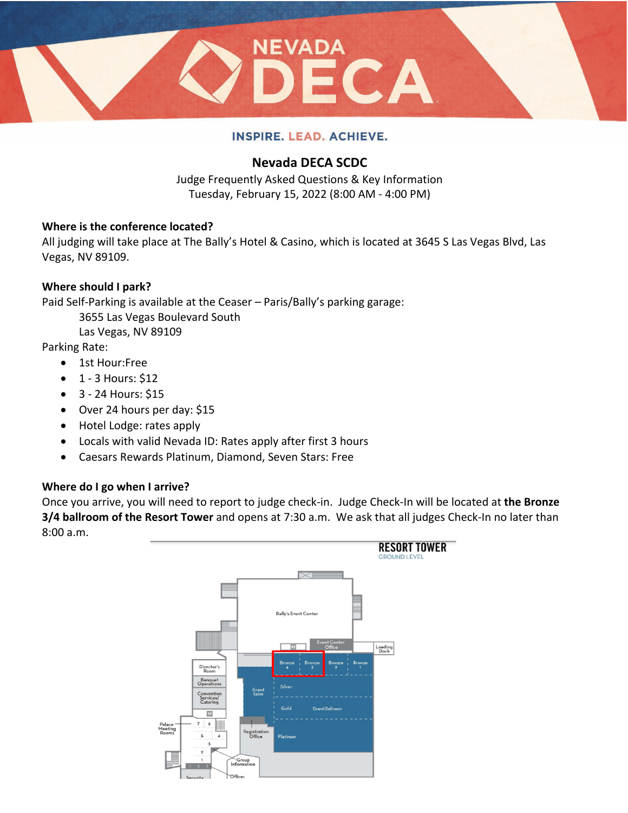

# **Nevada DECA SCDC**

Judge Frequently Asked Questions & Key Information Tuesday, February 15, 2022 (8:00 AM - 4:00 PM)

## **Where is the conference located?**

All judging will take place at The Bally's Hotel & Casino, which is located at 3645 S Las Vegas Blvd, Las Vegas, NV 89109.

## **Where should I park?**

Paid Self-Parking is available at the Ceaser – Paris/Bally's parking garage:

3655 Las Vegas Boulevard South

Las Vegas, NV 89109

Parking Rate:

- 1st Hour:Free
- $\bullet$  1 3 Hours: \$12
- 3 24 Hours: \$15
- Over 24 hours per day: \$15
- Hotel Lodge: rates apply
- Locals with valid Nevada ID: Rates apply after first 3 hours
- Caesars Rewards Platinum, Diamond, Seven Stars: Free

## **Where do I go when I arrive?**

Once you arrive, you will need to report to judge check-in. Judge Check-In will be located at **the Bronze 3/4 ballroom of the Resort Tower** and opens at 7:30 a.m. We ask that all judges Check-In no later than 8:00 a.m.

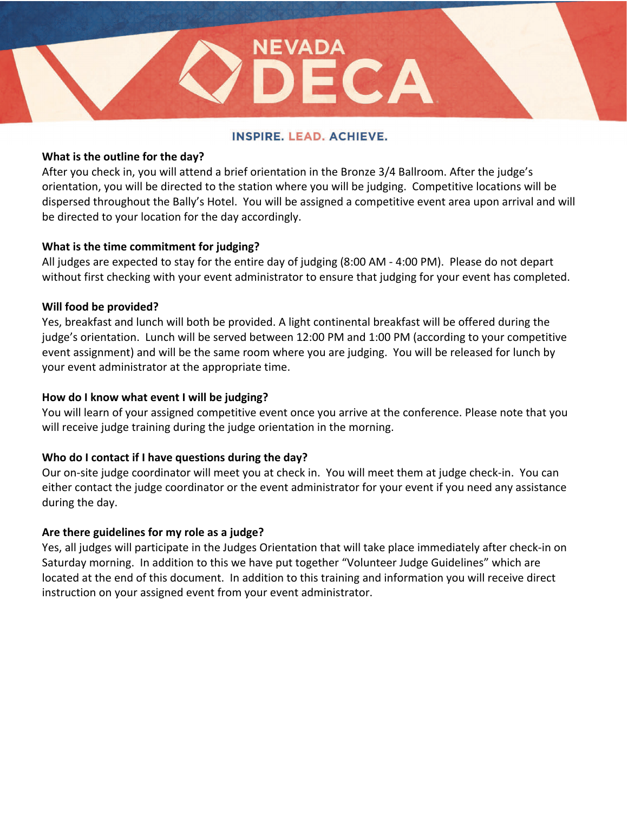$ECA$ 

NEVADA

## **What is the outline for the day?**

After you check in, you will attend a brief orientation in the Bronze 3/4 Ballroom. After the judge's orientation, you will be directed to the station where you will be judging. Competitive locations will be dispersed throughout the Bally's Hotel. You will be assigned a competitive event area upon arrival and will be directed to your location for the day accordingly.

## **What is the time commitment for judging?**

All judges are expected to stay for the entire day of judging (8:00 AM - 4:00 PM). Please do not depart without first checking with your event administrator to ensure that judging for your event has completed.

#### **Will food be provided?**

Yes, breakfast and lunch will both be provided. A light continental breakfast will be offered during the judge's orientation. Lunch will be served between 12:00 PM and 1:00 PM (according to your competitive event assignment) and will be the same room where you are judging. You will be released for lunch by your event administrator at the appropriate time.

## **How do I know what event I will be judging?**

You will learn of your assigned competitive event once you arrive at the conference. Please note that you will receive judge training during the judge orientation in the morning.

## **Who do I contact if I have questions during the day?**

Our on-site judge coordinator will meet you at check in. You will meet them at judge check-in. You can either contact the judge coordinator or the event administrator for your event if you need any assistance during the day.

## **Are there guidelines for my role as a judge?**

Yes, all judges will participate in the Judges Orientation that will take place immediately after check-in on Saturday morning. In addition to this we have put together "Volunteer Judge Guidelines" which are located at the end of this document. In addition to this training and information you will receive direct instruction on your assigned event from your event administrator.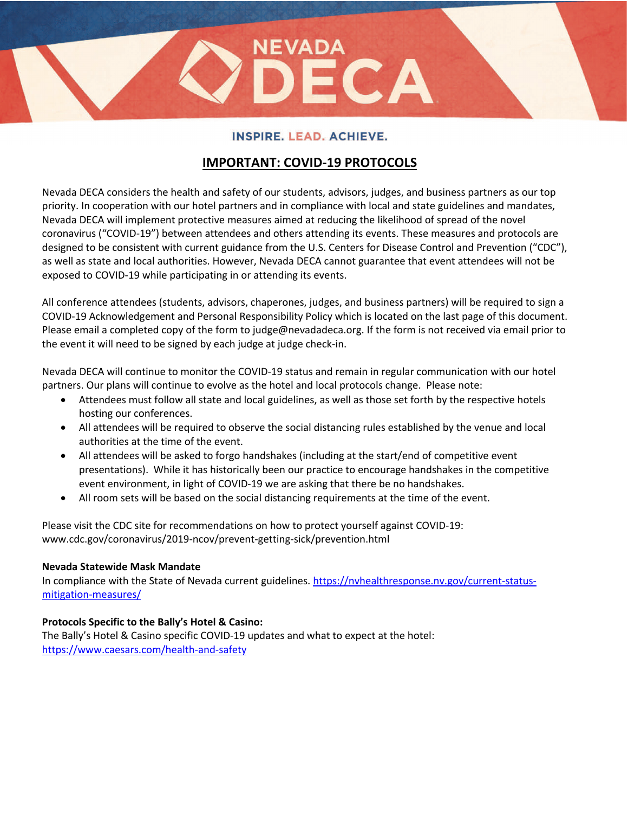ECA

NEVADA

# **IMPORTANT: COVID-19 PROTOCOLS**

Nevada DECA considers the health and safety of our students, advisors, judges, and business partners as our top priority. In cooperation with our hotel partners and in compliance with local and state guidelines and mandates, Nevada DECA will implement protective measures aimed at reducing the likelihood of spread of the novel coronavirus ("COVID-19") between attendees and others attending its events. These measures and protocols are designed to be consistent with current guidance from the U.S. Centers for Disease Control and Prevention ("CDC"), as well as state and local authorities. However, Nevada DECA cannot guarantee that event attendees will not be exposed to COVID-19 while participating in or attending its events.

All conference attendees (students, advisors, chaperones, judges, and business partners) will be required to sign a COVID-19 Acknowledgement and Personal Responsibility Policy which is located on the last page of this document. Please email a completed copy of the form to judge@nevadadeca.org. If the form is not received via email prior to the event it will need to be signed by each judge at judge check-in.

Nevada DECA will continue to monitor the COVID-19 status and remain in regular communication with our hotel partners. Our plans will continue to evolve as the hotel and local protocols change. Please note:

- Attendees must follow all state and local guidelines, as well as those set forth by the respective hotels hosting our conferences.
- All attendees will be required to observe the social distancing rules established by the venue and local authorities at the time of the event.
- All attendees will be asked to forgo handshakes (including at the start/end of competitive event presentations). While it has historically been our practice to encourage handshakes in the competitive event environment, in light of COVID-19 we are asking that there be no handshakes.
- All room sets will be based on the social distancing requirements at the time of the event.

Please visit the CDC site for recommendations on how to protect yourself against COVID-19: www.cdc.gov/coronavirus/2019-ncov/prevent-getting-sick/prevention.html

#### **Nevada Statewide Mask Mandate**

In compliance with the State of Nevada current guidelines. https://nvhealthresponse.nv.gov/current-statusmitigation-measures/

## **Protocols Specific to the Bally's Hotel & Casino:**

The Bally's Hotel & Casino specific COVID-19 updates and what to expect at the hotel: https://www.caesars.com/health-and-safety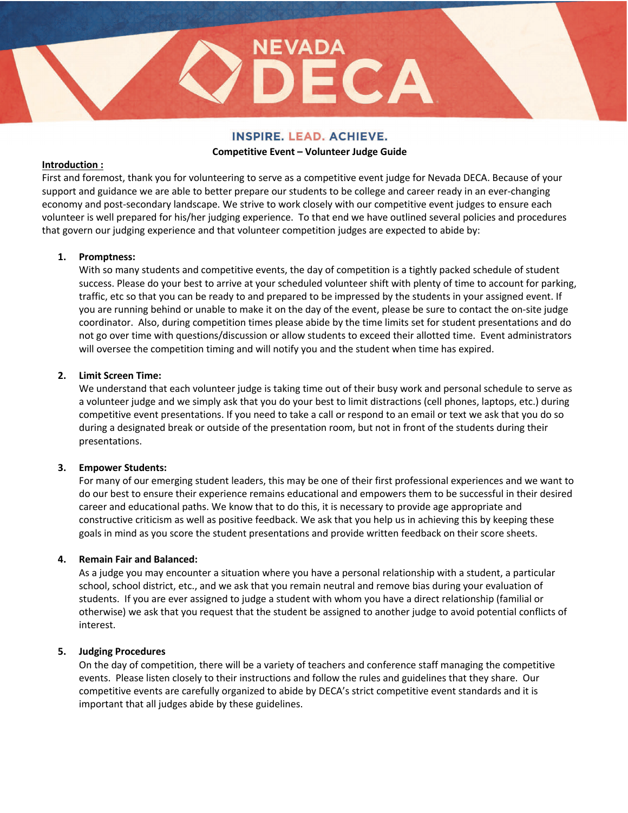ECA

NEVADA

#### **Competitive Event – Volunteer Judge Guide**

#### **Introduction :**

First and foremost, thank you for volunteering to serve as a competitive event judge for Nevada DECA. Because of your support and guidance we are able to better prepare our students to be college and career ready in an ever-changing economy and post-secondary landscape. We strive to work closely with our competitive event judges to ensure each volunteer is well prepared for his/her judging experience. To that end we have outlined several policies and procedures that govern our judging experience and that volunteer competition judges are expected to abide by:

#### **1. Promptness:**

With so many students and competitive events, the day of competition is a tightly packed schedule of student success. Please do your best to arrive at your scheduled volunteer shift with plenty of time to account for parking, traffic, etc so that you can be ready to and prepared to be impressed by the students in your assigned event. If you are running behind or unable to make it on the day of the event, please be sure to contact the on-site judge coordinator. Also, during competition times please abide by the time limits set for student presentations and do not go over time with questions/discussion or allow students to exceed their allotted time. Event administrators will oversee the competition timing and will notify you and the student when time has expired.

#### **2. Limit Screen Time:**

We understand that each volunteer judge is taking time out of their busy work and personal schedule to serve as a volunteer judge and we simply ask that you do your best to limit distractions (cell phones, laptops, etc.) during competitive event presentations. If you need to take a call or respond to an email or text we ask that you do so during a designated break or outside of the presentation room, but not in front of the students during their presentations.

#### **3. Empower Students:**

For many of our emerging student leaders, this may be one of their first professional experiences and we want to do our best to ensure their experience remains educational and empowers them to be successful in their desired career and educational paths. We know that to do this, it is necessary to provide age appropriate and constructive criticism as well as positive feedback. We ask that you help us in achieving this by keeping these goals in mind as you score the student presentations and provide written feedback on their score sheets.

#### **4. Remain Fair and Balanced:**

As a judge you may encounter a situation where you have a personal relationship with a student, a particular school, school district, etc., and we ask that you remain neutral and remove bias during your evaluation of students. If you are ever assigned to judge a student with whom you have a direct relationship (familial or otherwise) we ask that you request that the student be assigned to another judge to avoid potential conflicts of interest.

#### **5. Judging Procedures**

On the day of competition, there will be a variety of teachers and conference staff managing the competitive events. Please listen closely to their instructions and follow the rules and guidelines that they share. Our competitive events are carefully organized to abide by DECA's strict competitive event standards and it is important that all judges abide by these guidelines.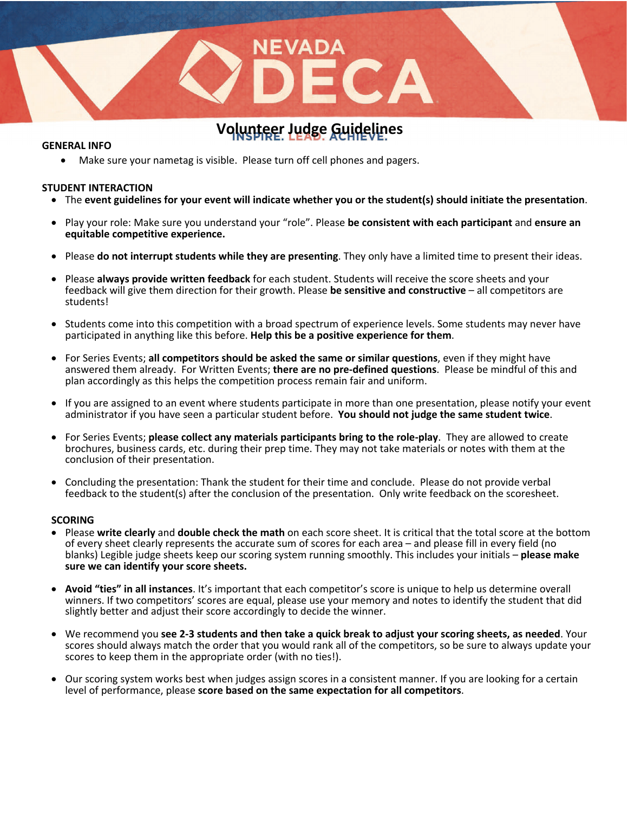# **Volunteer Judge Guidelines**

**NEVAD** 

#### **GENERAL INFO**

• Make sure your nametag is visible. Please turn off cell phones and pagers.

#### **STUDENT INTERACTION**

- The event guidelines for your event will indicate whether you or the student(s) should initiate the presentation.
- Play your role: Make sure you understand your "role". Please **be consistent with each participant** and **ensure an equitable competitive experience.**
- Please **do not interrupt students while they are presenting**. They only have a limited time to present their ideas.
- Please **always provide written feedback** for each student. Students will receive the score sheets and your feedback will give them direction for their growth. Please **be sensitive and constructive** – all competitors are students!
- Students come into this competition with a broad spectrum of experience levels. Some students may never have participated in anything like this before. **Help this be a positive experience for them**.
- For Series Events; **all competitors should be asked the same or similar questions**, even if they might have answered them already. For Written Events; **there are no pre-defined questions**. Please be mindful of this and plan accordingly as this helps the competition process remain fair and uniform.
- If you are assigned to an event where students participate in more than one presentation, please notify your event administrator if you have seen a particular student before. **You should not judge the same student twice**.
- For Series Events; **please collect any materials participants bring to the role-play**. They are allowed to create brochures, business cards, etc. during their prep time. They may not take materials or notes with them at the conclusion of their presentation.
- Concluding the presentation: Thank the student for their time and conclude. Please do not provide verbal feedback to the student(s) after the conclusion of the presentation. Only write feedback on the scoresheet.

#### **SCORING**

- Please **write clearly** and **double check the math** on each score sheet. It is critical that the total score at the bottom of every sheet clearly represents the accurate sum of scores for each area – and please fill in every field (no blanks) Legible judge sheets keep our scoring system running smoothly. This includes your initials – **please make sure we can identify your score sheets.**
- **Avoid "ties" in all instances**. It's important that each competitor's score is unique to help us determine overall winners. If two competitors' scores are equal, please use your memory and notes to identify the student that did slightly better and adjust their score accordingly to decide the winner.
- We recommend you **see 2-3 students and then take a quick break to adjust your scoring sheets, as needed**. Your scores should always match the order that you would rank all of the competitors, so be sure to always update your scores to keep them in the appropriate order (with no ties!).
- Our scoring system works best when judges assign scores in a consistent manner. If you are looking for a certain level of performance, please **score based on the same expectation for all competitors**.